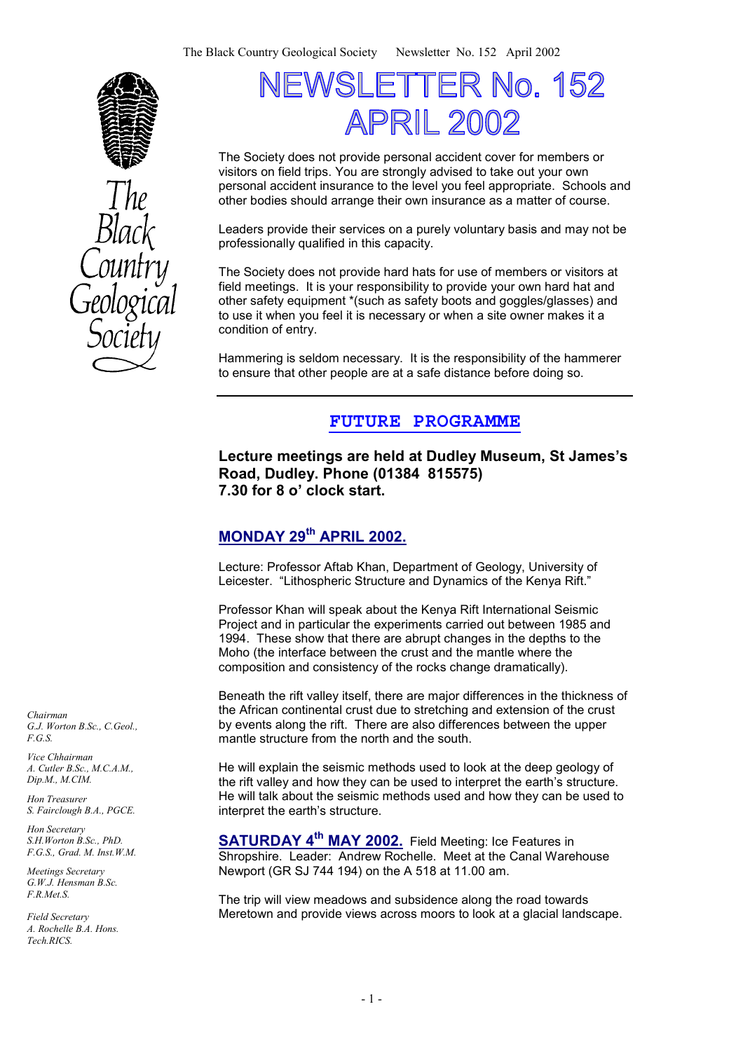



# TER No. 152 VSI  $\vdash$   $\vdash$ APRIL 2002

The Society does not provide personal accident cover for members or visitors on field trips. You are strongly advised to take out your own personal accident insurance to the level you feel appropriate. Schools and other bodies should arrange their own insurance as a matter of course.

Leaders provide their services on a purely voluntary basis and may not be professionally qualified in this capacity.

The Society does not provide hard hats for use of members or visitors at field meetings. It is your responsibility to provide your own hard hat and other safety equipment \*(such as safety boots and goggles/glasses) and to use it when you feel it is necessary or when a site owner makes it a condition of entry.

Hammering is seldom necessary. It is the responsibility of the hammerer to ensure that other people are at a safe distance before doing so.

# **FUTURE PROGRAMME**

**Lecture meetings are held at Dudley Museum, St James's Road, Dudley. Phone (01384 815575) 7.30 for 8 o' clock start.** 

# **MONDAY 29th APRIL 2002.**

Lecture: Professor Aftab Khan, Department of Geology, University of Leicester. "Lithospheric Structure and Dynamics of the Kenya Rift."

Professor Khan will speak about the Kenya Rift International Seismic Project and in particular the experiments carried out between 1985 and 1994. These show that there are abrupt changes in the depths to the Moho (the interface between the crust and the mantle where the composition and consistency of the rocks change dramatically).

Beneath the rift valley itself, there are major differences in the thickness of the African continental crust due to stretching and extension of the crust by events along the rift. There are also differences between the upper mantle structure from the north and the south.

He will explain the seismic methods used to look at the deep geology of the rift valley and how they can be used to interpret the earth's structure. He will talk about the seismic methods used and how they can be used to interpret the earth's structure.

**SATURDAY 4th MAY 2002.** Field Meeting: Ice Features in Shropshire. Leader: Andrew Rochelle. Meet at the Canal Warehouse Newport (GR SJ 744 194) on the A 518 at 11.00 am.

The trip will view meadows and subsidence along the road towards Meretown and provide views across moors to look at a glacial landscape.

*Chairman G.J. Worton B.Sc., C.Geol., F.G.S.* 

*Vice Chhairman A. Cutler B.Sc., M.C.A.M., Dip.M., M.CIM.* 

*Hon Treasurer S. Fairclough B.A., PGCE.* 

*Hon Secretary S.H.Worton B.Sc., PhD. F.G.S., Grad. M. Inst.W.M.* 

*Meetings Secretary G.W.J. Hensman B.Sc. F.R.Met.S.* 

*Field Secretary A. Rochelle B.A. Hons. Tech.RICS.*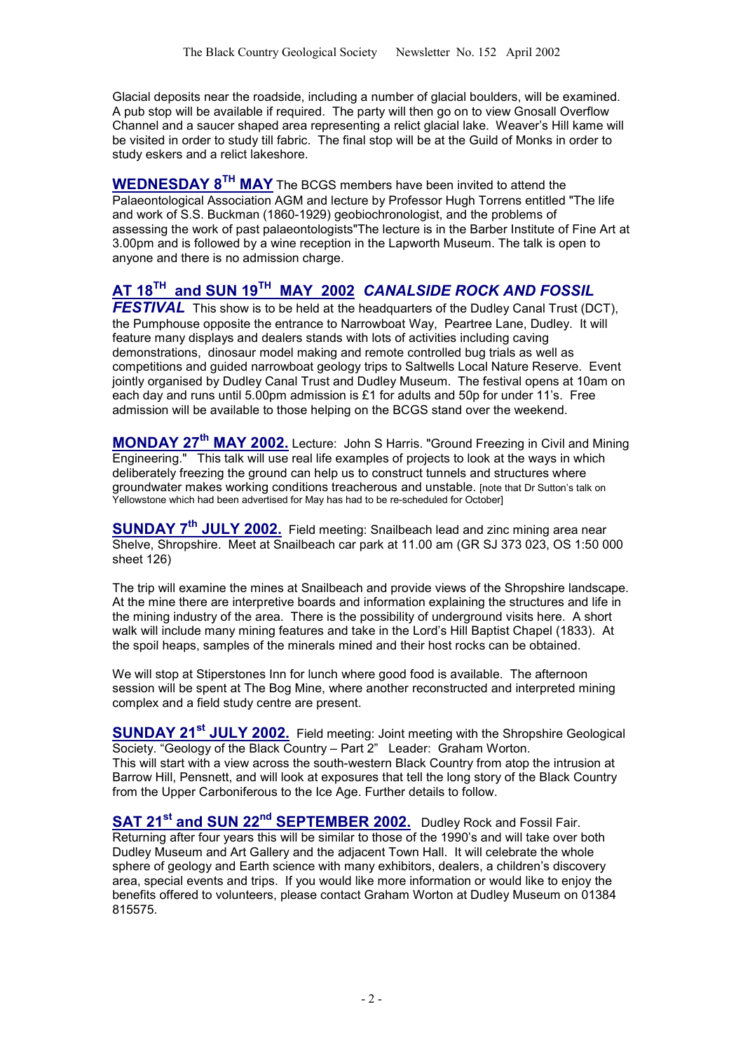Glacial deposits near the roadside, including a number of glacial boulders, will be examined. A pub stop will be available if required. The party will then go on to view Gnosall Overflow Channel and a saucer shaped area representing a relict glacial lake. Weaver's Hill kame will be visited in order to study till fabric. The final stop will be at the Guild of Monks in order to study eskers and a relict lakeshore.

**WEDNESDAY 8TH MAY** The BCGS members have been invited to attend the Palaeontological Association AGM and lecture by Professor Hugh Torrens entitled "The life and work of S.S. Buckman (1860-1929) geobiochronologist, and the problems of assessing the work of past palaeontologists"The lecture is in the Barber Institute of Fine Art at 3.00pm and is followed by a wine reception in the Lapworth Museum. The talk is open to anyone and there is no admission charge.

### **AT 18TH and SUN 19TH MAY 2002** *CANALSIDE ROCK AND FOSSIL*

**FESTIVAL** This show is to be held at the headquarters of the Dudley Canal Trust (DCT), the Pumphouse opposite the entrance to Narrowboat Way, Peartree Lane, Dudley. It will feature many displays and dealers stands with lots of activities including caving demonstrations, dinosaur model making and remote controlled bug trials as well as competitions and guided narrowboat geology trips to Saltwells Local Nature Reserve. Event jointly organised by Dudley Canal Trust and Dudley Museum. The festival opens at 10am on each day and runs until 5.00pm admission is £1 for adults and 50p for under 11's. Free admission will be available to those helping on the BCGS stand over the weekend.

**MONDAY 27th MAY 2002.** Lecture: John S Harris. "Ground Freezing in Civil and Mining Engineering." This talk will use real life examples of projects to look at the ways in which deliberately freezing the ground can help us to construct tunnels and structures where groundwater makes working conditions treacherous and unstable. Inote that Dr Sutton's talk on Yellowstone which had been advertised for May has had to be re-scheduled for October]

**SUNDAY 7th JULY 2002.** Field meeting: Snailbeach lead and zinc mining area near Shelve, Shropshire. Meet at Snailbeach car park at 11.00 am (GR SJ 373 023, OS 1:50 000 sheet 126)

The trip will examine the mines at Snailbeach and provide views of the Shropshire landscape. At the mine there are interpretive boards and information explaining the structures and life in the mining industry of the area. There is the possibility of underground visits here. A short walk will include many mining features and take in the Lord's Hill Baptist Chapel (1833). At the spoil heaps, samples of the minerals mined and their host rocks can be obtained.

We will stop at Stiperstones Inn for lunch where good food is available. The afternoon session will be spent at The Bog Mine, where another reconstructed and interpreted mining complex and a field study centre are present.

**SUNDAY 21st JULY 2002.** Field meeting: Joint meeting with the Shropshire Geological Society. "Geology of the Black Country – Part 2" Leader: Graham Worton. This will start with a view across the south-western Black Country from atop the intrusion at Barrow Hill, Pensnett, and will look at exposures that tell the long story of the Black Country from the Upper Carboniferous to the Ice Age. Further details to follow.

SAT 21<sup>st</sup> and SUN 22<sup>nd</sup> SEPTEMBER 2002. Dudley Rock and Fossil Fair. Returning after four years this will be similar to those of the 1990's and will take over both Dudley Museum and Art Gallery and the adjacent Town Hall. It will celebrate the whole sphere of geology and Earth science with many exhibitors, dealers, a children's discovery area, special events and trips. If you would like more information or would like to enjoy the benefits offered to volunteers, please contact Graham Worton at Dudley Museum on 01384 815575.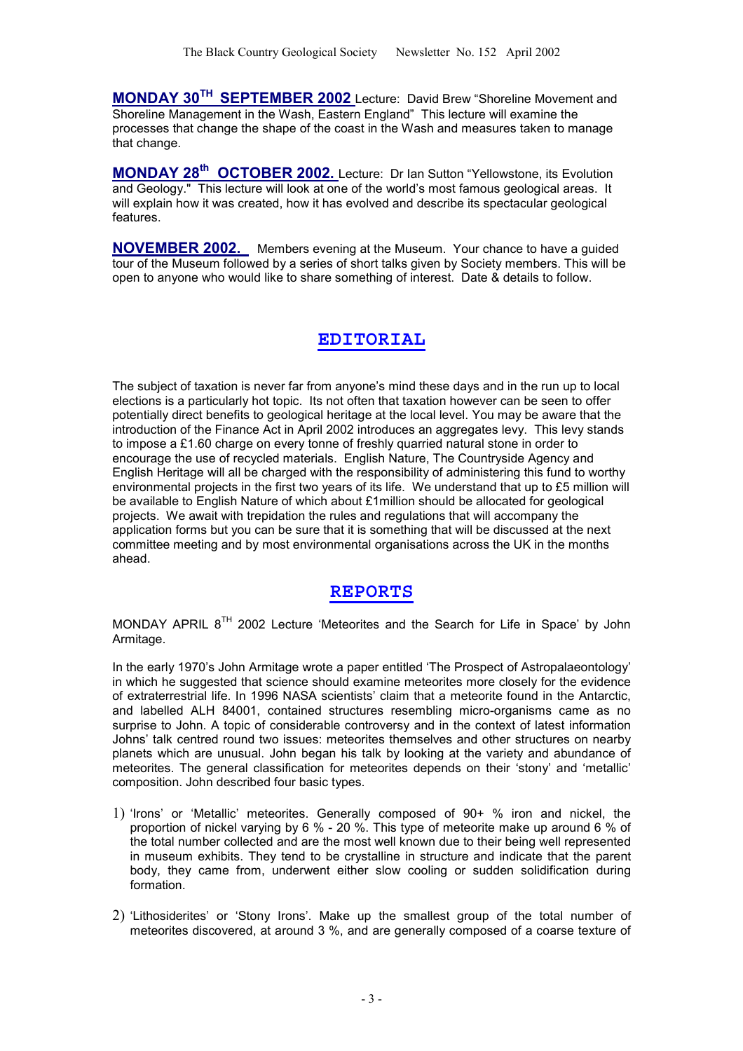**MONDAY 30TH SEPTEMBER 2002** Lecture: David Brew "Shoreline Movement and Shoreline Management in the Wash, Eastern England" This lecture will examine the processes that change the shape of the coast in the Wash and measures taken to manage that change.

**MONDAY 28th OCTOBER 2002.** Lecture: Dr Ian Sutton "Yellowstone, its Evolution and Geology." This lecture will look at one of the world's most famous geological areas. It will explain how it was created, how it has evolved and describe its spectacular geological features.

**NOVEMBER 2002.** Members evening at the Museum. Your chance to have a guided tour of the Museum followed by a series of short talks given by Society members. This will be open to anyone who would like to share something of interest. Date & details to follow.

### **EDITORIAL**

The subject of taxation is never far from anyone's mind these days and in the run up to local elections is a particularly hot topic. Its not often that taxation however can be seen to offer potentially direct benefits to geological heritage at the local level. You may be aware that the introduction of the Finance Act in April 2002 introduces an aggregates levy. This levy stands to impose a £1.60 charge on every tonne of freshly quarried natural stone in order to encourage the use of recycled materials. English Nature, The Countryside Agency and English Heritage will all be charged with the responsibility of administering this fund to worthy environmental projects in the first two years of its life. We understand that up to £5 million will be available to English Nature of which about £1million should be allocated for geological projects. We await with trepidation the rules and regulations that will accompany the application forms but you can be sure that it is something that will be discussed at the next committee meeting and by most environmental organisations across the UK in the months ahead.

### **REPORTS**

MONDAY APRIL 8TH 2002 Lecture 'Meteorites and the Search for Life in Space' by John Armitage.

In the early 1970's John Armitage wrote a paper entitled 'The Prospect of Astropalaeontology' in which he suggested that science should examine meteorites more closely for the evidence of extraterrestrial life. In 1996 NASA scientists' claim that a meteorite found in the Antarctic, and labelled ALH 84001, contained structures resembling micro-organisms came as no surprise to John. A topic of considerable controversy and in the context of latest information Johns' talk centred round two issues: meteorites themselves and other structures on nearby planets which are unusual. John began his talk by looking at the variety and abundance of meteorites. The general classification for meteorites depends on their 'stony' and 'metallic' composition. John described four basic types.

- 1) 'Irons' or 'Metallic' meteorites. Generally composed of 90+ % iron and nickel, the proportion of nickel varying by 6 % - 20 %. This type of meteorite make up around 6 % of the total number collected and are the most well known due to their being well represented in museum exhibits. They tend to be crystalline in structure and indicate that the parent body, they came from, underwent either slow cooling or sudden solidification during formation
- 2) 'Lithosiderites' or 'Stony Irons'. Make up the smallest group of the total number of meteorites discovered, at around 3 %, and are generally composed of a coarse texture of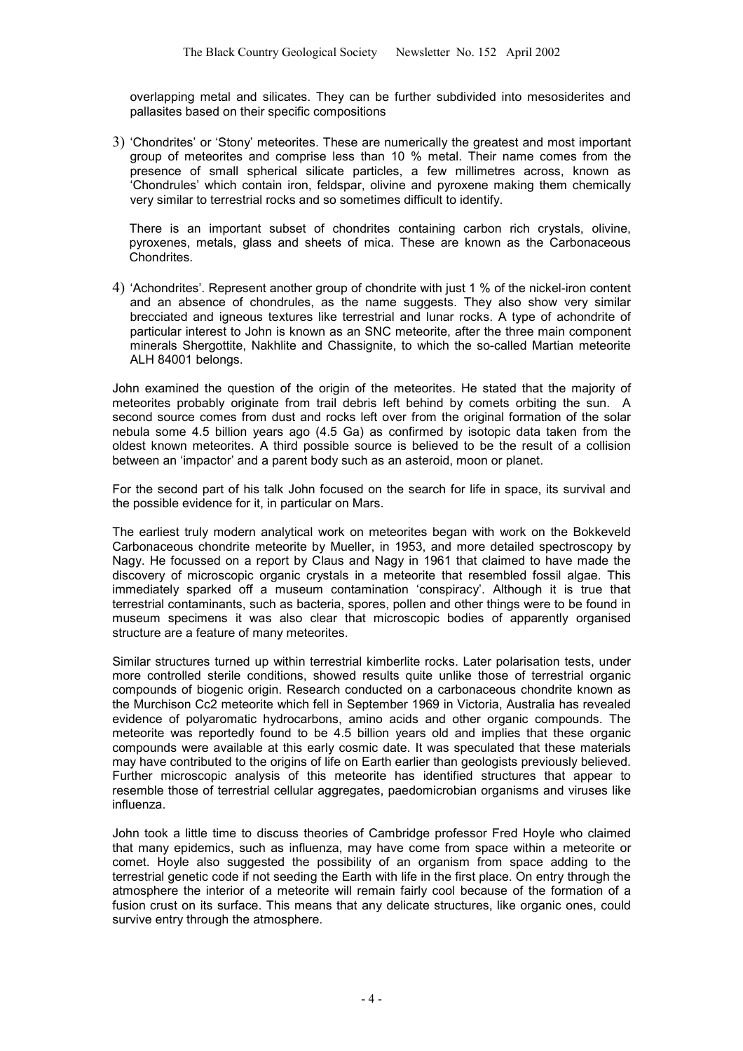overlapping metal and silicates. They can be further subdivided into mesosiderites and pallasites based on their specific compositions

3) 'Chondrites' or 'Stony' meteorites. These are numerically the greatest and most important group of meteorites and comprise less than 10 % metal. Their name comes from the presence of small spherical silicate particles, a few millimetres across, known as 'Chondrules' which contain iron, feldspar, olivine and pyroxene making them chemically very similar to terrestrial rocks and so sometimes difficult to identify.

There is an important subset of chondrites containing carbon rich crystals, olivine, pyroxenes, metals, glass and sheets of mica. These are known as the Carbonaceous Chondrites.

4) 'Achondrites'. Represent another group of chondrite with just 1 % of the nickel-iron content and an absence of chondrules, as the name suggests. They also show very similar brecciated and igneous textures like terrestrial and lunar rocks. A type of achondrite of particular interest to John is known as an SNC meteorite, after the three main component minerals Shergottite, Nakhlite and Chassignite, to which the so-called Martian meteorite ALH 84001 belongs.

John examined the question of the origin of the meteorites. He stated that the majority of meteorites probably originate from trail debris left behind by comets orbiting the sun. A second source comes from dust and rocks left over from the original formation of the solar nebula some 4.5 billion years ago (4.5 Ga) as confirmed by isotopic data taken from the oldest known meteorites. A third possible source is believed to be the result of a collision between an 'impactor' and a parent body such as an asteroid, moon or planet.

For the second part of his talk John focused on the search for life in space, its survival and the possible evidence for it, in particular on Mars.

The earliest truly modern analytical work on meteorites began with work on the Bokkeveld Carbonaceous chondrite meteorite by Mueller, in 1953, and more detailed spectroscopy by Nagy. He focussed on a report by Claus and Nagy in 1961 that claimed to have made the discovery of microscopic organic crystals in a meteorite that resembled fossil algae. This immediately sparked off a museum contamination 'conspiracy'. Although it is true that terrestrial contaminants, such as bacteria, spores, pollen and other things were to be found in museum specimens it was also clear that microscopic bodies of apparently organised structure are a feature of many meteorites.

Similar structures turned up within terrestrial kimberlite rocks. Later polarisation tests, under more controlled sterile conditions, showed results quite unlike those of terrestrial organic compounds of biogenic origin. Research conducted on a carbonaceous chondrite known as the Murchison Cc2 meteorite which fell in September 1969 in Victoria, Australia has revealed evidence of polyaromatic hydrocarbons, amino acids and other organic compounds. The meteorite was reportedly found to be 4.5 billion years old and implies that these organic compounds were available at this early cosmic date. It was speculated that these materials may have contributed to the origins of life on Earth earlier than geologists previously believed. Further microscopic analysis of this meteorite has identified structures that appear to resemble those of terrestrial cellular aggregates, paedomicrobian organisms and viruses like influenza.

John took a little time to discuss theories of Cambridge professor Fred Hoyle who claimed that many epidemics, such as influenza, may have come from space within a meteorite or comet. Hoyle also suggested the possibility of an organism from space adding to the terrestrial genetic code if not seeding the Earth with life in the first place. On entry through the atmosphere the interior of a meteorite will remain fairly cool because of the formation of a fusion crust on its surface. This means that any delicate structures, like organic ones, could survive entry through the atmosphere.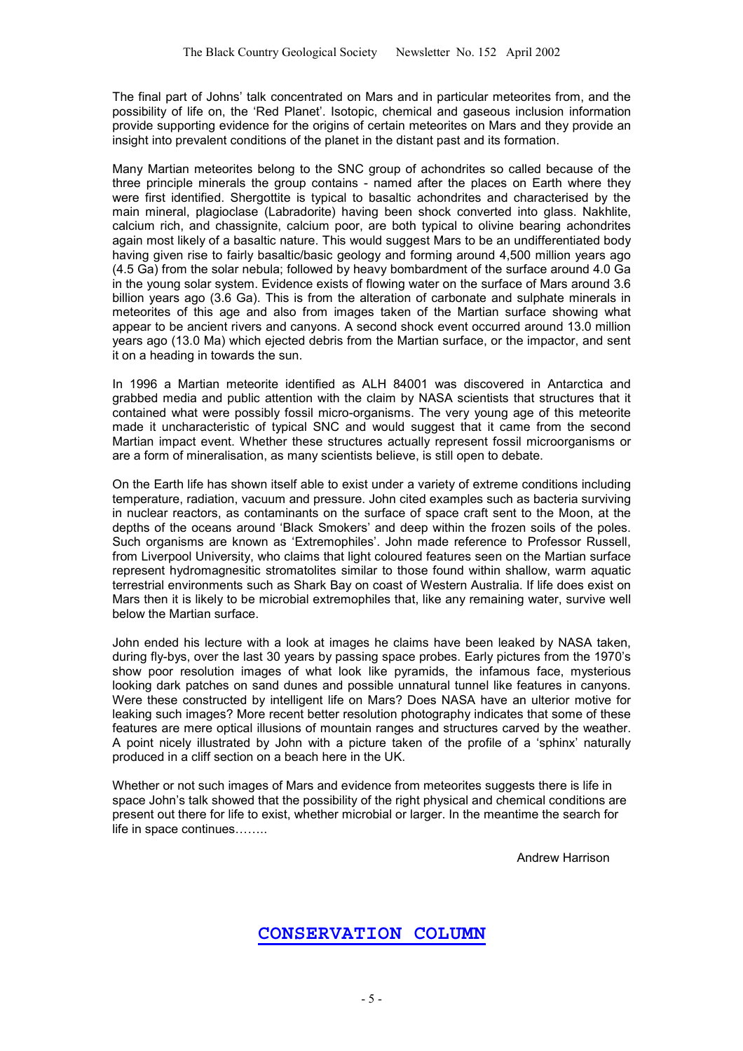The final part of Johns' talk concentrated on Mars and in particular meteorites from, and the possibility of life on, the 'Red Planet'. Isotopic, chemical and gaseous inclusion information provide supporting evidence for the origins of certain meteorites on Mars and they provide an insight into prevalent conditions of the planet in the distant past and its formation.

Many Martian meteorites belong to the SNC group of achondrites so called because of the three principle minerals the group contains - named after the places on Earth where they were first identified. Shergottite is typical to basaltic achondrites and characterised by the main mineral, plagioclase (Labradorite) having been shock converted into glass. Nakhlite, calcium rich, and chassignite, calcium poor, are both typical to olivine bearing achondrites again most likely of a basaltic nature. This would suggest Mars to be an undifferentiated body having given rise to fairly basaltic/basic geology and forming around 4,500 million years ago (4.5 Ga) from the solar nebula; followed by heavy bombardment of the surface around 4.0 Ga in the young solar system. Evidence exists of flowing water on the surface of Mars around 3.6 billion years ago (3.6 Ga). This is from the alteration of carbonate and sulphate minerals in meteorites of this age and also from images taken of the Martian surface showing what appear to be ancient rivers and canyons. A second shock event occurred around 13.0 million years ago (13.0 Ma) which ejected debris from the Martian surface, or the impactor, and sent it on a heading in towards the sun.

In 1996 a Martian meteorite identified as ALH 84001 was discovered in Antarctica and grabbed media and public attention with the claim by NASA scientists that structures that it contained what were possibly fossil micro-organisms. The very young age of this meteorite made it uncharacteristic of typical SNC and would suggest that it came from the second Martian impact event. Whether these structures actually represent fossil microorganisms or are a form of mineralisation, as many scientists believe, is still open to debate.

On the Earth life has shown itself able to exist under a variety of extreme conditions including temperature, radiation, vacuum and pressure. John cited examples such as bacteria surviving in nuclear reactors, as contaminants on the surface of space craft sent to the Moon, at the depths of the oceans around 'Black Smokers' and deep within the frozen soils of the poles. Such organisms are known as 'Extremophiles'. John made reference to Professor Russell, from Liverpool University, who claims that light coloured features seen on the Martian surface represent hydromagnesitic stromatolites similar to those found within shallow, warm aquatic terrestrial environments such as Shark Bay on coast of Western Australia. If life does exist on Mars then it is likely to be microbial extremophiles that, like any remaining water, survive well below the Martian surface.

John ended his lecture with a look at images he claims have been leaked by NASA taken, during fly-bys, over the last 30 years by passing space probes. Early pictures from the 1970's show poor resolution images of what look like pyramids, the infamous face, mysterious looking dark patches on sand dunes and possible unnatural tunnel like features in canyons. Were these constructed by intelligent life on Mars? Does NASA have an ulterior motive for leaking such images? More recent better resolution photography indicates that some of these features are mere optical illusions of mountain ranges and structures carved by the weather. A point nicely illustrated by John with a picture taken of the profile of a 'sphinx' naturally produced in a cliff section on a beach here in the UK.

Whether or not such images of Mars and evidence from meteorites suggests there is life in space John's talk showed that the possibility of the right physical and chemical conditions are present out there for life to exist, whether microbial or larger. In the meantime the search for life in space continues……..

Andrew Harrison

### **CONSERVATION COLUMN**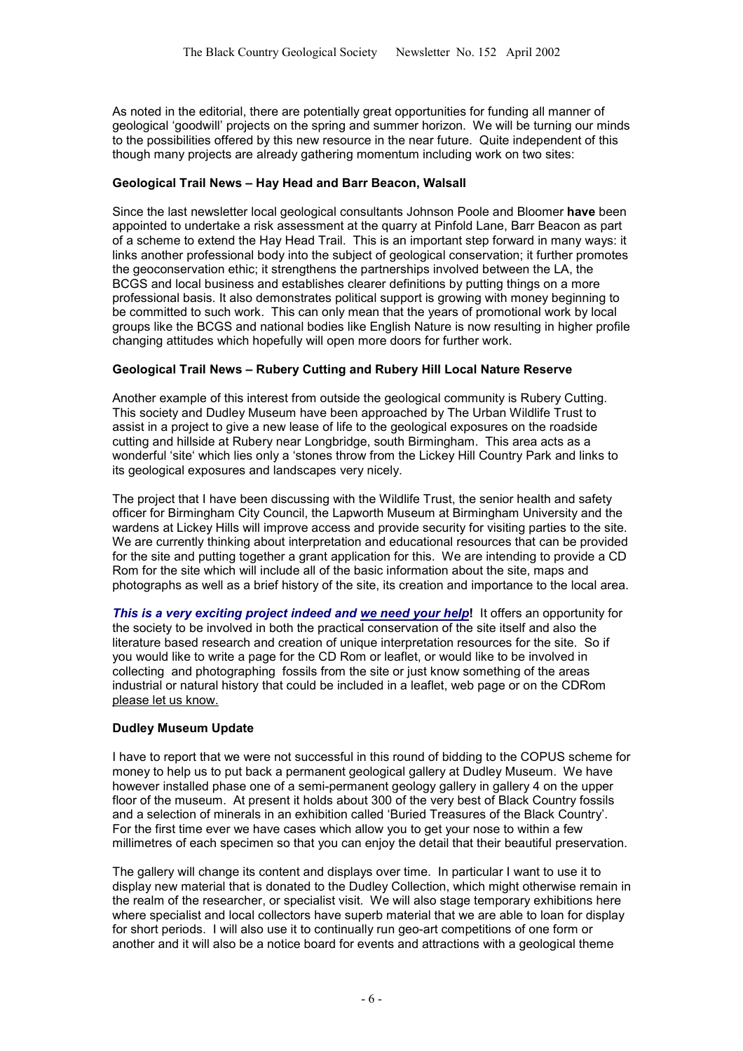As noted in the editorial, there are potentially great opportunities for funding all manner of geological 'goodwill' projects on the spring and summer horizon. We will be turning our minds to the possibilities offered by this new resource in the near future. Quite independent of this though many projects are already gathering momentum including work on two sites:

#### **Geological Trail News – Hay Head and Barr Beacon, Walsall**

Since the last newsletter local geological consultants Johnson Poole and Bloomer **have** been appointed to undertake a risk assessment at the quarry at Pinfold Lane, Barr Beacon as part of a scheme to extend the Hay Head Trail. This is an important step forward in many ways: it links another professional body into the subject of geological conservation; it further promotes the geoconservation ethic; it strengthens the partnerships involved between the LA, the BCGS and local business and establishes clearer definitions by putting things on a more professional basis. It also demonstrates political support is growing with money beginning to be committed to such work. This can only mean that the years of promotional work by local groups like the BCGS and national bodies like English Nature is now resulting in higher profile changing attitudes which hopefully will open more doors for further work.

#### **Geological Trail News – Rubery Cutting and Rubery Hill Local Nature Reserve**

Another example of this interest from outside the geological community is Rubery Cutting. This society and Dudley Museum have been approached by The Urban Wildlife Trust to assist in a project to give a new lease of life to the geological exposures on the roadside cutting and hillside at Rubery near Longbridge, south Birmingham. This area acts as a wonderful 'site' which lies only a 'stones throw from the Lickey Hill Country Park and links to its geological exposures and landscapes very nicely.

The project that I have been discussing with the Wildlife Trust, the senior health and safety officer for Birmingham City Council, the Lapworth Museum at Birmingham University and the wardens at Lickey Hills will improve access and provide security for visiting parties to the site. We are currently thinking about interpretation and educational resources that can be provided for the site and putting together a grant application for this. We are intending to provide a CD Rom for the site which will include all of the basic information about the site, maps and photographs as well as a brief history of the site, its creation and importance to the local area.

*This is a very exciting project indeed and we need your help***!** It offers an opportunity for the society to be involved in both the practical conservation of the site itself and also the literature based research and creation of unique interpretation resources for the site. So if you would like to write a page for the CD Rom or leaflet, or would like to be involved in collecting and photographing fossils from the site or just know something of the areas industrial or natural history that could be included in a leaflet, web page or on the CDRom please let us know.

#### **Dudley Museum Update**

I have to report that we were not successful in this round of bidding to the COPUS scheme for money to help us to put back a permanent geological gallery at Dudley Museum. We have however installed phase one of a semi-permanent geology gallery in gallery 4 on the upper floor of the museum. At present it holds about 300 of the very best of Black Country fossils and a selection of minerals in an exhibition called 'Buried Treasures of the Black Country'. For the first time ever we have cases which allow you to get your nose to within a few millimetres of each specimen so that you can enjoy the detail that their beautiful preservation.

The gallery will change its content and displays over time. In particular I want to use it to display new material that is donated to the Dudley Collection, which might otherwise remain in the realm of the researcher, or specialist visit. We will also stage temporary exhibitions here where specialist and local collectors have superb material that we are able to loan for display for short periods. I will also use it to continually run geo-art competitions of one form or another and it will also be a notice board for events and attractions with a geological theme